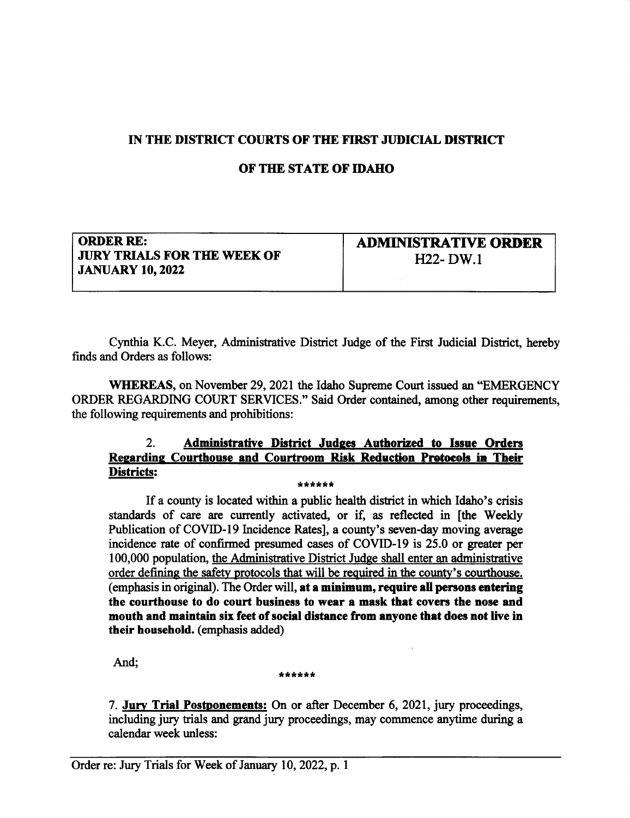## IN THE DISTRICT COURTS OF THE FIRST JUDICIAL DISTRICT

## OF THE STATE OF IDAHO

ORDER RE: JURY TRIALS FOR THE WEEK OF **JANUARY 10, 2022** 

ADMINISTRATIVE ORDER 1122- DW.1

Cynthia K.C. Meyer, Administative Distict Judge of the First Judicial District, hereby finds and Orders as follows:

WHEREAS, on November 29, 2021 the Idaho Supreme Court issued an "EMERGENCY" ORDER REGARDING COURT SERVICES." Said Order contained, among other requirements, the following requirements and prohibitions:

## 2. Administrative District Judges Authorized to Issue Orders Regarding Courthouse and Courtroom Risk Reduction Protocols in Their<br>Districts: DigEsls: \*\*\*\*\*\*

If a county is located within a public health district in which Idaho's crisis standards of care are currently activated, or if, as reflected in [the Weekly Publication of COVID-I9 Incidence Rates], a county's seven-day moving average incidence rate of confirmed presumed cases of COVID-I9 is 25.0 or greater per 100,000 population, the Administrative District Judge shall enter an administrative order defining the safety protocols that will be required in the countv's courthouse. (emphasis in original). The Order will, at a minimum, require all persons entering the courthouse to do court business to wear a mask that covers the nose and mouth and maintain six feet of social distence from enyone thet does not live in their household. (emphasis added)

And; \*\*\*\*\*\*\*

7. Jury Trial Postponements: On or after December 6, 2021, jury proceedings, including jury tials and grand jury proceedings, may commence anytime during a calendar week unless: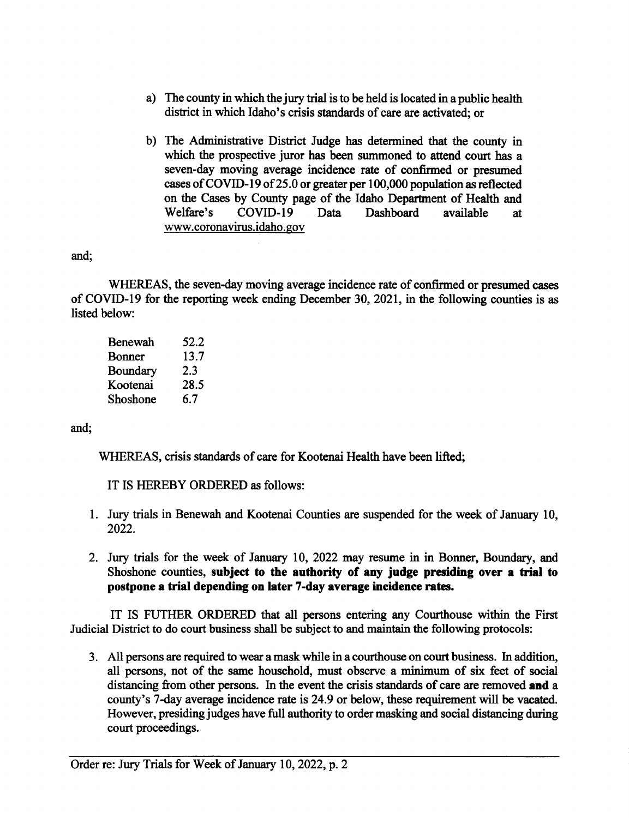- a) The county in which the jury tial is to be held is located in a public health district in which Idaho's crisis standards of care are activated; or
- b) The Administrative District Judge has determined that the county in which the prospective juror has been summoned to attend court has a seven-day moving average incidence rate of confirmed or presumed cases of COVID-19 of 25.0 or greater per 100,000 population as reflected on the Cases by County page of the Idaho Department of Health and Welfare's COVID-I9 Data Dashboard available at www.coronavirus.idaho.gov

and;

WHEREAS, the seven-day moving average incidence rate of confimred or presumed cases of COVID-I9 for the reporting week ending December 30,2021, in the following counties is as listed below:

| Benewah  | 52.2 |
|----------|------|
| Bonner   | 13.7 |
| Boundary | 2.3  |
| Kootenai | 28.5 |
| Shoshone | 6.7  |

and;

WHEREAS, crisis standards of care for Kootenai Health have been lifted;

IT IS HEREBY ORDERED as follows:

- 1. Jury trials in Benewah and Kootenai Counties are suspended for the week of January 10, 2022.
- 2. Jury trials for the week of January 10,2022 may resume in in Bonner, Boundary, and Shoshone counties, subject to the authority of any judge presiding over a trial to postpone a trial depending on later 7-day average incidence rates.

IT IS FUTHER ORDERED that all persons entering any Courthouse within the First Judicial District to do court business shall be subject to and maintain the following protocols:

3. All persons are required to wear a mask while in a courthouse on court business. In addition, all persons, not of the same household, must observe a minimum of six feet of social distancing from other persons. In the event the crisis standards of care are removed and a county's 7-day average incidence rate is 24.9 or below, these requirement will be vacated. However, presiding judges have full authority to order masking and social distancing during court proceedings.